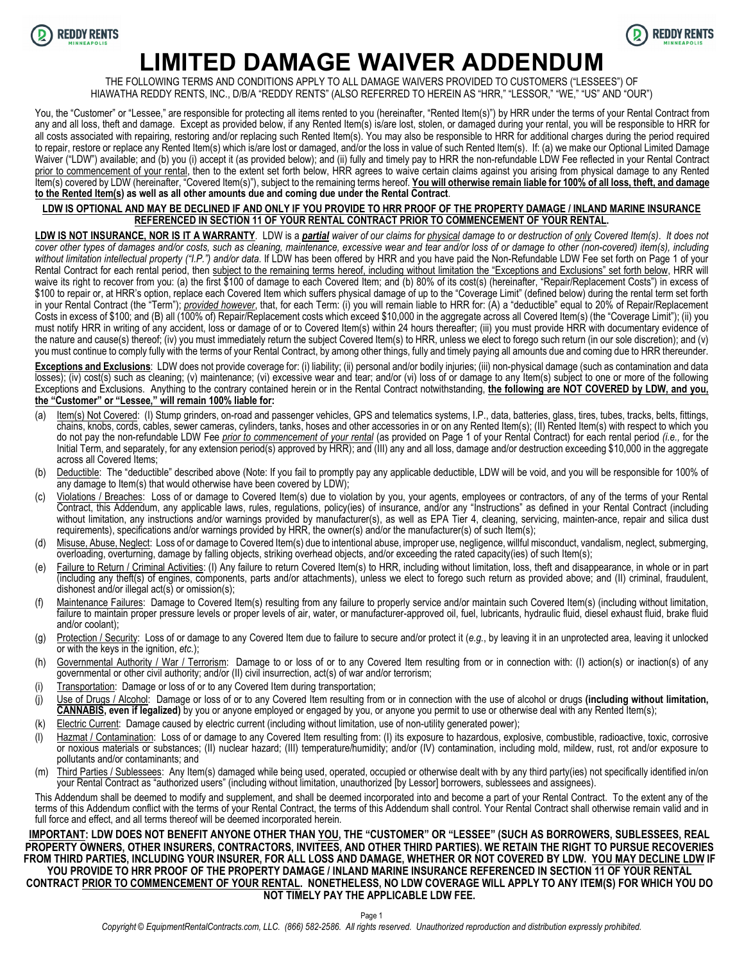



# **LIMITED DAMAGE WAIVER ADDENDUM**

THE FOLLOWING TERMS AND CONDITIONS APPLY TO ALL DAMAGE WAIVERS PROVIDED TO CUSTOMERS ("LESSEES") OF HIAWATHA REDDY RENTS, INC., D/B/A "REDDY RENTS" (ALSO REFERRED TO HEREIN AS "HRR," "LESSOR," "WE," "US" AND "OUR")

You, the "Customer" or "Lessee," are responsible for protecting all items rented to you (hereinafter, "Rented Item(s)") by HRR under the terms of your Rental Contract from any and all loss, theft and damage. Except as provided below, if any Rented Item(s) is/are lost, stolen, or damaged during your rental, you will be responsible to HRR for all costs associated with repairing, restoring and/or replacing such Rented Item(s). You may also be responsible to HRR for additional charges during the period required to repair, restore or replace any Rented Item(s) which is/are lost or damaged, and/or the loss in value of such Rented Item(s). If: (a) we make our Optional Limited Damage Waiver ("LDW") available; and (b) you (i) accept it (as provided below); and (ii) fully and timely pay to HRR the non-refundable LDW Fee reflected in your Rental Contract prior to commencement of your rental, then to the extent set forth below, HRR agrees to waive certain claims against you arising from physical damage to any Rented Item(s) covered by LDW (hereinafter, "Covered Item(s)"), subject to the remaining terms hereof. **You will otherwise remain liable for 100% of all loss, theft, and damage to the Rented Item(s) as well as all other amounts due and coming due under the Rental Contract**.

#### **LDW IS OPTIONAL AND MAY BE DECLINED IF AND ONLY IF YOU PROVIDE TO HRR PROOF OF THE PROPERTY DAMAGE / INLAND MARINE INSURANCE REFERENCED IN SECTION 11 OF YOUR RENTAL CONTRACT PRIOR TO COMMENCEMENT OF YOUR RENTAL.**

**LDW IS NOT INSURANCE, NOR IS IT A WARRANTY**. LDW is a *partial waiver of our claims for physical damage to or destruction of only Covered Item(s)*. *It does not cover other types of damages and/or costs, such as cleaning, maintenance, excessive wear and tear and/or loss of or damage to other (non-covered) item(s), including without limitation intellectual property ("I.P.") and/or data*. If LDW has been offered by HRR and you have paid the Non-Refundable LDW Fee set forth on Page 1 of your Rental Contract for each rental period, then subject to the remaining terms hereof, including without limitation the "Exceptions and Exclusions" set forth below, HRR will waive its right to recover from you: (a) the first \$100 of damage to each Covered Item; and (b) 80% of its cost(s) (hereinafter, "Repair/Replacement Costs") in excess of \$100 to repair or, at HRR's option, replace each Covered Item which suffers physical damage of up to the "Coverage Limit" (defined below) during the rental term set forth in your Rental Contract (the "Term"); *provided however*, that, for each Term: (i) you will remain liable to HRR for: (A) a "deductible" equal to 20% of Repair/Replacement Costs in excess of \$100; and (B) all (100% of) Repair/Replacement costs which exceed \$10,000 in the aggregate across all Covered Item(s) (the "Coverage Limit"); (ii) you must notify HRR in writing of any accident, loss or damage of or to Covered Item(s) within 24 hours thereafter; (iii) you must provide HRR with documentary evidence of the nature and cause(s) thereof; (iv) you must immediately return the subject Covered Item(s) to HRR, unless we elect to forego such return (in our sole discretion); and (v) you must continue to comply fully with the terms of your Rental Contract, by among other things, fully and timely paying all amounts due and coming due to HRR thereunder.

**Exceptions and Exclusions**: LDW does not provide coverage for: (i) liability; (ii) personal and/or bodily injuries; (iii) non-physical damage (such as contamination and data losses); (iv) cost(s) such as cleaning; (v) maintenance; (vi) excessive wear and tear; and/or (vi) loss of or damage to any Item(s) subject to one or more of the following Exceptions and Exclusions. Anything to the contrary contained herein or in the Rental Contract notwithstanding, **the following are NOT COVERED by LDW, and you, the "Customer" or "Lessee," will remain 100% liable for:**

- (a) Item(s) Not Covered: (I) Stump grinders, on-road and passenger vehicles, GPS and telematics systems, I.P., data, batteries, glass, tires, tubes, tracks, belts, fittings, chains, knobs, cords, cables, sewer cameras, cylinders, tanks, hoses and other accessories in or on any Rented Item(s); (II) Rented Item(s) with respect to which you do not pay the non-refundable LDW Fee *prior to commencement of your rental* (as provided on Page 1 of your Rental Contract) for each rental period *(i.e.,* for the Initial Term, and separately, for any extension period(s) approved by HRR); and (III) any and all loss, damage and/or destruction exceeding \$10,000 in the aggregate across all Covered Items;
- (b) Deductible: The "deductible" described above (Note: If you fail to promptly pay any applicable deductible, LDW will be void, and you will be responsible for 100% of any damage to Item(s) that would otherwise have been covered by LDW);
- (c) Violations / Breaches: Loss of or damage to Covered Item(s) due to violation by you, your agents, employees or contractors, of any of the terms of your Rental Contract, this Addendum, any applicable laws, rules, regulations, policy(ies) of insurance, and/or any "Instructions" as defined in your Rental Contract (including without limitation, any instructions and/or warnings provided by manufacturer(s), as well as EPA Tier 4, cleaning, servicing, mainten-ance, repair and silica dust requirements), specifications and/or warnings provided by HRR, the owner(s) and/or the manufacturer(s) of such Item(s);
- (d) Misuse, Abuse, Neglect: Loss of or damage to Covered Item(s) due to intentional abuse, improper use, negligence, willful misconduct, vandalism, neglect, submerging, overloading, overturning, damage by falling objects, striking overhead objects, and/or exceeding the rated capacity(ies) of such Item(s);
- (e) Failure to Return / Criminal Activities: (I) Any failure to return Covered Item(s) to HRR, including without limitation, loss, theft and disappearance, in whole or in part (including any theft(s) of engines, components, parts and/or attachments), unless we elect to forego such return as provided above; and (II) criminal, fraudulent, dishonest and/or illegal act(s) or omission(s);
- (f) Maintenance Failures: Damage to Covered Item(s) resulting from any failure to properly service and/or maintain such Covered Item(s) (including without limitation, failure to maintain proper pressure levels or proper levels of air, water, or manufacturer-approved oil, fuel, lubricants, hydraulic fluid, diesel exhaust fluid, brake fluid and/or coolant);
- (g) Protection / Security: Loss of or damage to any Covered Item due to failure to secure and/or protect it (*e.g.*, by leaving it in an unprotected area, leaving it unlocked or with the keys in the ignition, *etc.*);
- (h) Governmental Authority / War / Terrorism: Damage to or loss of or to any Covered Item resulting from or in connection with: (I) action(s) or inaction(s) of any governmental or other civil authority; and/or (II) civil insurrection, act(s) of war and/or terrorism;
- (i) Transportation: Damage or loss of or to any Covered Item during transportation;
- (j) Use of Drugs / Alcohol: Damage or loss of or to any Covered Item resulting from or in connection with the use of alcohol or drugs **(including without limitation, CANNABIS, even if legalized)** by you or anyone employed or engaged by you, or anyone you permit to use or otherwise deal with any Rented Item(s);
- (k) Electric Current: Damage caused by electric current (including without limitation, use of non-utility generated power);
- (l) Hazmat / Contamination: Loss of or damage to any Covered Item resulting from: (I) its exposure to hazardous, explosive, combustible, radioactive, toxic, corrosive or noxious materials or substances; (II) nuclear hazard; (III) temperature/humidity; and/or (IV) contamination, including mold, mildew, rust, rot and/or exposure to pollutants and/or contaminants; and
- (m) Third Parties / Sublessees: Any Item(s) damaged while being used, operated, occupied or otherwise dealt with by any third party(ies) not specifically identified in/on your Rental Contract as "authorized users" (including without limitation, unauthorized [by Lessor] borrowers, sublessees and assignees).

This Addendum shall be deemed to modify and supplement, and shall be deemed incorporated into and become a part of your Rental Contract. To the extent any of the terms of this Addendum conflict with the terms of your Rental Contract, the terms of this Addendum shall control. Your Rental Contract shall otherwise remain valid and in full force and effect, and all terms thereof will be deemed incorporated herein*.*

#### **IMPORTANT: LDW DOES NOT BENEFIT ANYONE OTHER THAN YOU, THE "CUSTOMER" OR "LESSEE" (SUCH AS BORROWERS, SUBLESSEES, REAL PROPERTY OWNERS, OTHER INSURERS, CONTRACTORS, INVITEES, AND OTHER THIRD PARTIES). WE RETAIN THE RIGHT TO PURSUE RECOVERIES FROM THIRD PARTIES, INCLUDING YOUR INSURER, FOR ALL LOSS AND DAMAGE, WHETHER OR NOT COVERED BY LDW. YOU MAY DECLINE LDW IF YOU PROVIDE TO HRR PROOF OF THE PROPERTY DAMAGE / INLAND MARINE INSURANCE REFERENCED IN SECTION 11 OF YOUR RENTAL**

#### **CONTRACT PRIOR TO COMMENCEMENT OF YOUR RENTAL. NONETHELESS, NO LDW COVERAGE WILL APPLY TO ANY ITEM(S) FOR WHICH YOU DO NOT TIMELY PAY THE APPLICABLE LDW FEE.**

Page 1